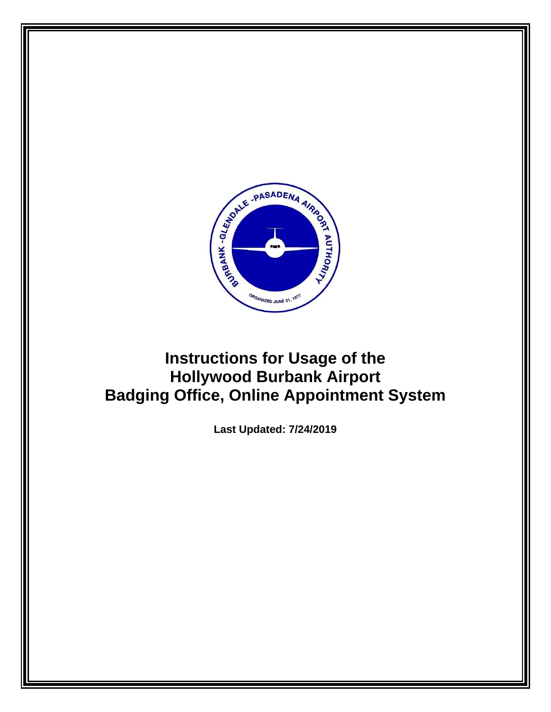

## **Instructions for Usage of the Hollywood Burbank Airport Badging Office, Online Appointment System**

**Last Updated: 7/24/2019**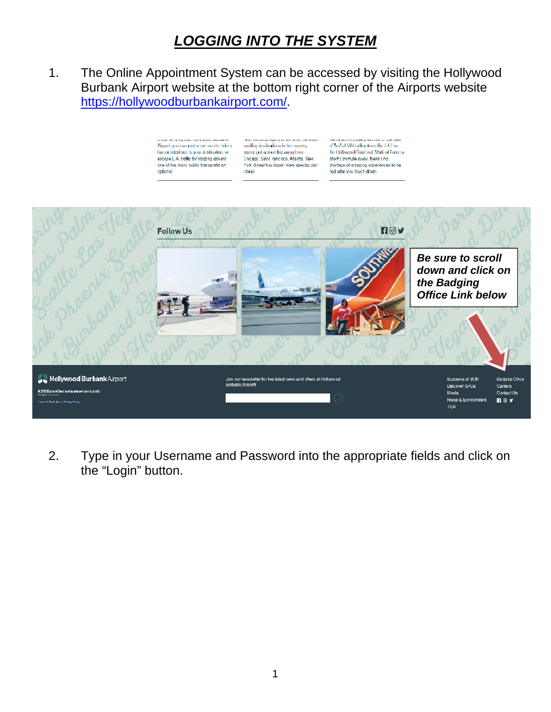## *LOGGING INTO THE SYSTEM*

1. The Online Appointment System can be accessed by visiting the Hollywood Burbank Airport website at the bottom right corner of the Airports website https://hollywoodburbankairport.com/.



2. Type in your Username and Password into the appropriate fields and click on the "Login" button.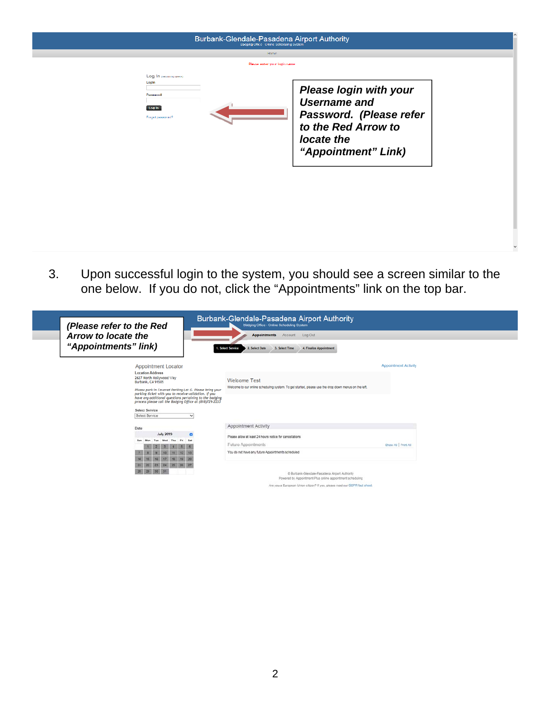| <b>Badging Office - Unline Scheduling System</b><br>Home:                  |                                                                                                                                             |  |
|----------------------------------------------------------------------------|---------------------------------------------------------------------------------------------------------------------------------------------|--|
| Please enter your login name                                               |                                                                                                                                             |  |
| Log In (etiming issue)<br>Login<br>Paperwood<br>Log in<br>Forget password? | <b>Please login with your</b><br><b>Username and</b><br>Password. (Please refer<br>to the Red Arrow to<br>locate the<br>"Appointment" Link) |  |

3. Upon successful login to the system, you should see a screen similar to the one below. If you do not, click the "Appointments" link on the top bar.

| (Please refer to the Red                                                                                                                                                    | Burbank-Glendale-Pasadena Airport Authority<br>Badging Office - Online Scheduling System                                    |                             |
|-----------------------------------------------------------------------------------------------------------------------------------------------------------------------------|-----------------------------------------------------------------------------------------------------------------------------|-----------------------------|
| Arrow to locate the                                                                                                                                                         | <b>Appointments</b><br>Log Out<br>Account                                                                                   |                             |
| "Appointments" link)                                                                                                                                                        | 2. Select Date<br>3. Select Time<br>4. Finalize Appointment<br>1. Select Service                                            |                             |
| <b>Appointment Locator</b><br><b>Location Address</b>                                                                                                                       |                                                                                                                             | <b>Appointment Activity</b> |
| 2627 North Hollywood Way<br>Burbank, CA 91505<br>Please park in Covered Parking Lot G. Please bring your                                                                    | <b>Welcome Test</b><br>Welcome to our online scheduling system. To get started, please use the drop down menus on the left. |                             |
| parking ticket with you to receive validation. If you<br>have any additional questions pertaining to the badging<br>process please call the Badging Office at (818)729-2233 |                                                                                                                             |                             |
| <b>Select Service</b>                                                                                                                                                       |                                                                                                                             |                             |
| Select Service<br>$\sim$                                                                                                                                                    |                                                                                                                             |                             |
| Date                                                                                                                                                                        | Appointment Activity                                                                                                        |                             |
| <b>July 2019</b><br>n                                                                                                                                                       | Please allow at least 24 hours notice for cancellations                                                                     |                             |
|                                                                                                                                                                             | <b>Future Appointments</b>                                                                                                  | Show All   Print All        |
|                                                                                                                                                                             | You do not have any future Appointments scheduled                                                                           |                             |
|                                                                                                                                                                             |                                                                                                                             |                             |
| 23.3<br>24<br>22<br>25                                                                                                                                                      | C Burbank-Glendale-Pasadena Airport Authority<br>Powered by Appointment-Plus online appointment scheduling                  |                             |
|                                                                                                                                                                             | Are you a European Union citizen? If yes, please read our GDPR fact sheet                                                   |                             |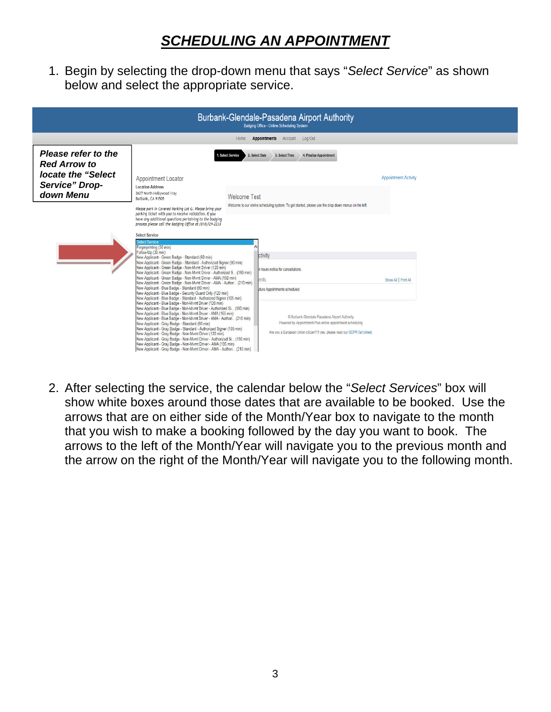## *SCHEDULING AN APPOINTMENT*

1. Begin by selecting the drop-down menu that says "*Select Service*" as shown below and select the appropriate service.

| Burbank-Glendale-Pasadena Airport Authority<br>Badging Office - Online Scheduling System         |                                                                                                                                                                                                                                                                                                                                                                                                                                                                                                                                                                                                                                                                                                                                                                                                                                                                                                                                                                                                                                                                                                                                                                                                                                                                                                                                                                                         |                     |                                                                                                                                                                                                                                                                                 |                             |  |
|--------------------------------------------------------------------------------------------------|-----------------------------------------------------------------------------------------------------------------------------------------------------------------------------------------------------------------------------------------------------------------------------------------------------------------------------------------------------------------------------------------------------------------------------------------------------------------------------------------------------------------------------------------------------------------------------------------------------------------------------------------------------------------------------------------------------------------------------------------------------------------------------------------------------------------------------------------------------------------------------------------------------------------------------------------------------------------------------------------------------------------------------------------------------------------------------------------------------------------------------------------------------------------------------------------------------------------------------------------------------------------------------------------------------------------------------------------------------------------------------------------|---------------------|---------------------------------------------------------------------------------------------------------------------------------------------------------------------------------------------------------------------------------------------------------------------------------|-----------------------------|--|
| <b>Appointments</b> Account Log Out<br>Home                                                      |                                                                                                                                                                                                                                                                                                                                                                                                                                                                                                                                                                                                                                                                                                                                                                                                                                                                                                                                                                                                                                                                                                                                                                                                                                                                                                                                                                                         |                     |                                                                                                                                                                                                                                                                                 |                             |  |
| Please refer to the<br><b>Red Arrow to</b><br>locate the "Select"<br>Service" Drop-<br>down Menu | . Select Service<br><b>Appointment Locator</b><br><b>Location Address</b><br>2627 North Hollywood Way<br>Burbank, CA 91505<br>Please park in Covered Parking Lot G. Please bring your<br>parking ticket with you to receive validation. If you<br>have any additional questions pertaining to the badging<br>process please call the Badging Office at (818)729-2233                                                                                                                                                                                                                                                                                                                                                                                                                                                                                                                                                                                                                                                                                                                                                                                                                                                                                                                                                                                                                    | <b>Welcome Test</b> | 2. Select Date<br>3. Select Time<br>4. Finalize Appointment<br>Welcome to our online scheduling system. To get started, please use the drop down menus on the left.                                                                                                             | <b>Appointment Activity</b> |  |
|                                                                                                  | <b>Select Service</b><br><b>Select Service</b><br>Fingerprinting (30 min)<br>Follow-Up (30 min)<br>New Applicant - Green Badge - Standard (60 min)<br>New Applicant - Green Badge - Standard - Authorized Signer (90 min)<br>New Applicant - Green Badge - Non-Mvmt Driver (120 min)<br>New Applicant - Green Badge - Non-Mymt Driver - Authorized S., (180 min)<br>New Applicant - Green Badge - Non-Mvmt Driver - AMA (150 min)<br>New Applicant - Green Badge - Non-Mymt Driver - AMA - Author (210 min)<br>New Applicant - Blue Badge - Standard (90 min)<br>New Applicant - Blue Badge - Security Guard Only (120 min)<br>New Applicant - Blue Badge - Standard - Authorized Signer (105 min)<br>New Applicant - Blue Badge - Non-Mymt Driver (120 min)<br>New Applicant - Blue Badge - Non-Mymt Driver - Authorized Si (180 min)<br>New Applicant - Blue Badge - Non-Mvmt Driver - AMA (165 min)<br>New Applicant - Blue Badge - Non-Mymt Driver - AMA - Authori (210 min)<br>New Applicant - Gray Badge - Standard (60 min)<br>New Applicant - Gray Badge - Standard - Authorized Signer (105 min)<br>New Applicant - Gray Badge - Non-Mymt Driver (120 min)<br>New Applicant - Gray Badge - Non-Mvmt Driver - Authorized Si (180 min)<br>New Applicant - Gray Badge - Non-Mymt Driver - AMA (195 min)<br>New Applicant - Gray Badge - Non-Mvmt Driver - AMA - Authori (210 min) |                     | ctivity<br>4 hours notice for cancellations<br>ents<br>uture Appointments scheduled<br>© Burbank-Glendale-Pasadena Airport Authority<br>Powered by Appointment-Plus online appointment scheduling<br>Are you a European Union citizen? If yes, please read our GDPR fact sheet. | Show All   Print All        |  |

2. After selecting the service, the calendar below the "*Select Services*" box will show white boxes around those dates that are available to be booked. Use the arrows that are on either side of the Month/Year box to navigate to the month that you wish to make a booking followed by the day you want to book. The arrows to the left of the Month/Year will navigate you to the previous month and the arrow on the right of the Month/Year will navigate you to the following month.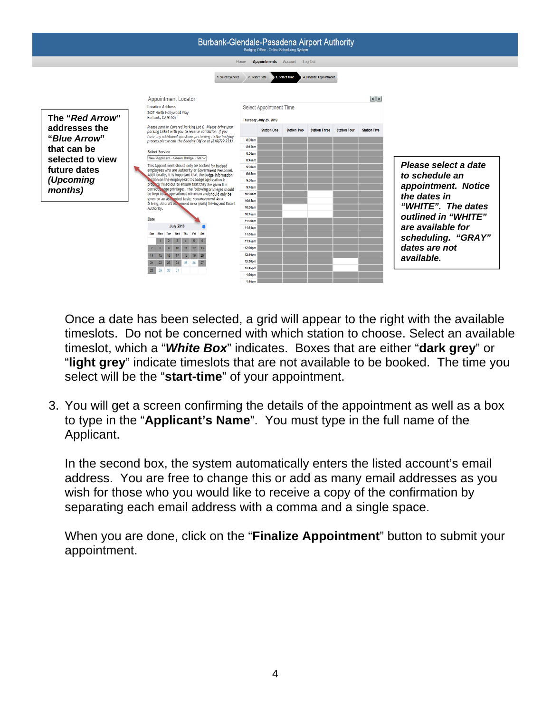

Once a date has been selected, a grid will appear to the right with the available timeslots. Do not be concerned with which station to choose. Select an available timeslot, which a "*White Box*" indicates. Boxes that are either "**dark grey**" or "**light grey**" indicate timeslots that are not available to be booked. The time you select will be the "**start-time**" of your appointment.

3. You will get a screen confirming the details of the appointment as well as a box to type in the "**Applicant's Name**". You must type in the full name of the Applicant.

In the second box, the system automatically enters the listed account's email address. You are free to change this or add as many email addresses as you wish for those who you would like to receive a copy of the confirmation by separating each email address with a comma and a single space.

When you are done, click on the "**Finalize Appointment**" button to submit your appointment.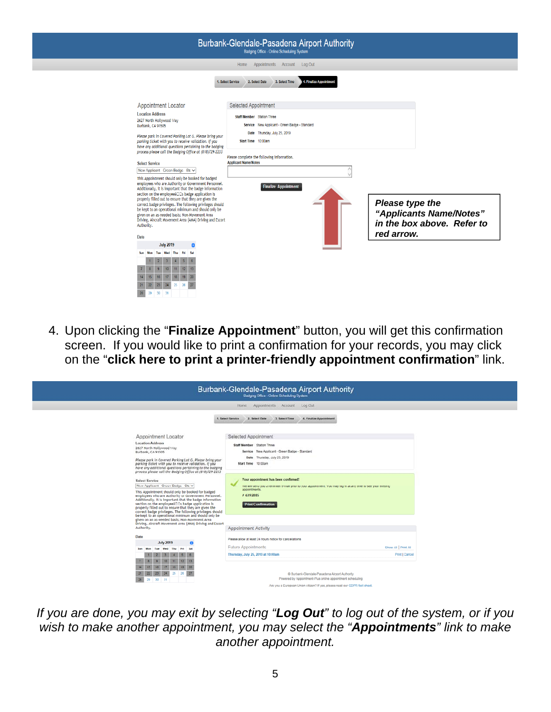| Burbank-Glendale-Pasadena Airport Authority<br>Badging Office - Online Scheduling System                                                                                                                                                                                                                                                                                                                                                                                                                                                                              |                                                                                                                                                                                                                        |  |  |
|-----------------------------------------------------------------------------------------------------------------------------------------------------------------------------------------------------------------------------------------------------------------------------------------------------------------------------------------------------------------------------------------------------------------------------------------------------------------------------------------------------------------------------------------------------------------------|------------------------------------------------------------------------------------------------------------------------------------------------------------------------------------------------------------------------|--|--|
|                                                                                                                                                                                                                                                                                                                                                                                                                                                                                                                                                                       | Home Appointments Account Log Out                                                                                                                                                                                      |  |  |
| <b>Appointment Locator</b>                                                                                                                                                                                                                                                                                                                                                                                                                                                                                                                                            | 4. Finalize Appointmen<br>1. Select Service<br>2. Select Date<br>3. Select Time<br>Selected Appointment                                                                                                                |  |  |
| <b>Location Address</b><br>2627 North Hollywood Way<br>Burbank, CA 91505<br>Please park in Covered Parking Lot G. Please bring your<br>parking ticket with you to receive validation. If you<br>have any additional questions pertaining to the badging<br>process please call the Badging Office at (818)729-2233<br><b>Select Service</b>                                                                                                                                                                                                                           | <b>Staff Member</b> Station Three<br>Service New Applicant - Green Badge - Standard<br>Date Thursday, July 25, 2019<br>Start Time 10:00am<br>Please complete the following information.<br><b>Applicant Name/Notes</b> |  |  |
| New Applicant Green Badge Stav<br>This Appointment should only be booked for badged<br>employees who are Authority or Government Personnel.<br>Additionally, it is important that the badge information<br>section on the employeeâDDs badge application is<br>properly filled out to ensure that they are given the<br>correct badge privileges. The following privileges should<br>be kept to an operational minimum and should only be<br>given on an as-needed basis; Non-Movement Area<br>Driving, Aircraft Movement Area (AMA) Driving and Escort<br>Authority. | <b>Finalize Appointment</b><br>Please type the<br>"Applicants Name/Notes"<br>in the box above. Refer to<br>red arrow.                                                                                                  |  |  |
| Date<br><b>July 2019</b><br>n<br>Wed<br>Thu Fri Sat<br>Sun<br>Mon<br>Tue<br>21<br>22<br>26<br>25<br>23<br>28<br>29 30 31                                                                                                                                                                                                                                                                                                                                                                                                                                              |                                                                                                                                                                                                                        |  |  |

4. Upon clicking the "**Finalize Appointment**" button, you will get this confirmation screen. If you would like to print a confirmation for your records, you may click on the "**click here to print a printer-friendly appointment confirmation**" link.

|                                                                                                                                                                                                                                                                                                                                                                                                                                                                     | Burbank-Glendale-Pasadena Airport Authority<br>Badging Office - Online Scheduling System                                                                                                                         |                                      |
|---------------------------------------------------------------------------------------------------------------------------------------------------------------------------------------------------------------------------------------------------------------------------------------------------------------------------------------------------------------------------------------------------------------------------------------------------------------------|------------------------------------------------------------------------------------------------------------------------------------------------------------------------------------------------------------------|--------------------------------------|
|                                                                                                                                                                                                                                                                                                                                                                                                                                                                     | Home Appointments Account Log Out                                                                                                                                                                                |                                      |
|                                                                                                                                                                                                                                                                                                                                                                                                                                                                     | 4. Finalize Appointment<br>1. Select Service<br>2. Select Date<br>3. Select Time                                                                                                                                 |                                      |
| Appointment Locator<br><b>Location Address</b><br>2627 North Hollywood Way<br>Burbank, CA 91505<br>Please park in Covered Parking Lot G. Please bring your<br>parking ticket with you to receive validation. If you<br>have any additional questions pertaining to the badging<br>process please call the Badeine Office at (818)729-2233                                                                                                                           | Selected Appointment<br>Staff Mamber Station Three<br>Service New Applicant - Green Badge - Standard<br>Date Thursday, July 25, 2019<br>Start Time 10:00am                                                       |                                      |
| <b>Select Service</b><br>New Applicant Green Badge Str V<br>This Appointment should only be booked for badged<br>employees who are Authority or Government Personnel.<br>Additionally, it is important that the badge information<br>section on the employee&DDs badge application is<br>properly filled out to ensure that they are given the<br>correct badge privileges. The following privileges should<br>be kept to an operational minimum and should only be | Your appointment has been confirmed!<br>We will send you a reminder e-mail prior to your appointment. You may log in at any time to see your existing<br>appointments.<br># 6392885<br><b>Print Confirmation</b> |                                      |
| given on an as-needed basis; Non-Movement Area<br>Driving, Aircraft Movement Area (AMA) Driving and Escort<br>Authority.                                                                                                                                                                                                                                                                                                                                            | <b>Appointment Activity</b>                                                                                                                                                                                      |                                      |
| Date<br><b>July 2019</b><br>n<br>Sat<br><b>Sun</b><br>More                                                                                                                                                                                                                                                                                                                                                                                                          | Please allow at least 24 hours notice for cancellations<br><b>Future Appointments</b><br>Thursday, July 25, 2019 at 10:00am                                                                                      | Show All Print All<br>Print   Cancel |
| 22<br>24<br>25<br>23<br>28<br>29 30 31                                                                                                                                                                                                                                                                                                                                                                                                                              | @ Burbank-Glendale-Pasadena Airport Authority<br>Powered by Appointment-Plus online appointment scheduling                                                                                                       |                                      |
|                                                                                                                                                                                                                                                                                                                                                                                                                                                                     | Are you a European Union citizen? If yes, please read our GDPR fact sheet.                                                                                                                                       |                                      |

*If you are done, you may exit by selecting "Log Out" to log out of the system, or if you wish to make another appointment, you may select the "Appointments" link to make another appointment.*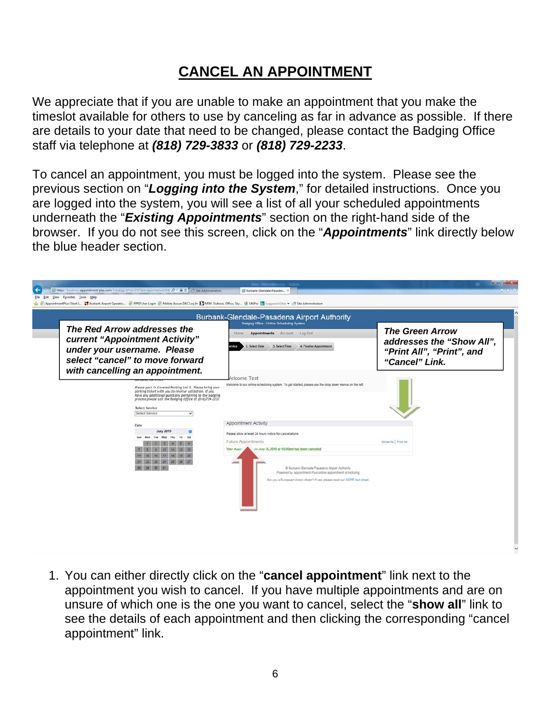## **CANCEL AN APPOINTMENT**

We appreciate that if you are unable to make an appointment that you make the timeslot available for others to use by canceling as far in advance as possible. If there are details to your date that need to be changed, please contact the Badging Office staff via telephone at *(818) 729-3833* or *(818) 729-2233*.

To cancel an appointment, you must be logged into the system. Please see the previous section on "*Logging into the System*," for detailed instructions. Once you are logged into the system, you will see a list of all your scheduled appointments underneath the "*Existing Appointments*" section on the right-hand side of the browser. If you do not see this screen, click on the "*Appointments*" link directly below the blue header section.



1. You can either directly click on the "**cancel appointment**" link next to the appointment you wish to cancel. If you have multiple appointments and are on unsure of which one is the one you want to cancel, select the "**show all**" link to see the details of each appointment and then clicking the corresponding "cancel appointment" link.